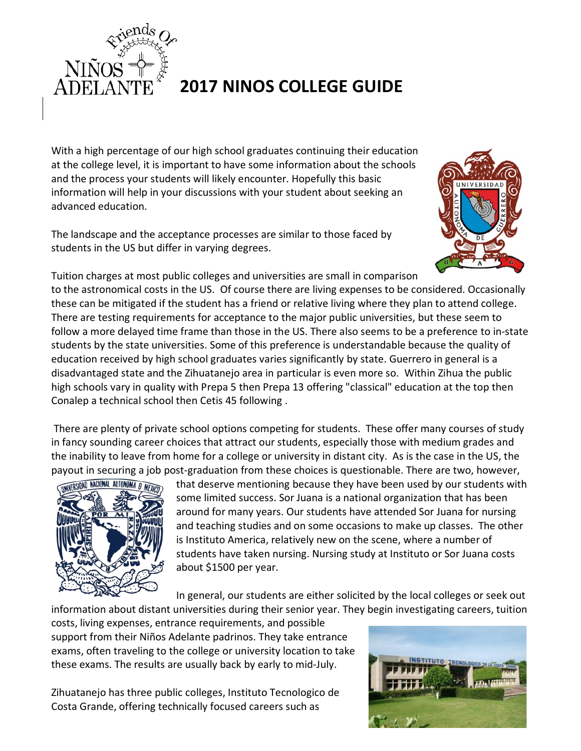

## **2017 NINOS COLLEGE GUIDE**

With a high percentage of our high school graduates continuing their education at the college level, it is important to have some information about the schools and the process your students will likely encounter. Hopefully this basic information will help in your discussions with your student about seeking an advanced education.

The landscape and the acceptance processes are similar to those faced by students in the US but differ in varying degrees.



Tuition charges at most public colleges and universities are small in comparison

to the astronomical costs in the US. Of course there are living expenses to be considered. Occasionally these can be mitigated if the student has a friend or relative living where they plan to attend college. There are testing requirements for acceptance to the major public universities, but these seem to follow a more delayed time frame than those in the US. There also seems to be a preference to in-state students by the state universities. Some of this preference is understandable because the quality of education received by high school graduates varies significantly by state. Guerrero in general is a disadvantaged state and the Zihuatanejo area in particular is even more so. Within Zihua the public high schools vary in quality with Prepa 5 then Prepa 13 offering "classical" education at the top then Conalep a technical school then Cetis 45 following .

There are plenty of private school options competing for students. These offer many courses of study in fancy sounding career choices that attract our students, especially those with medium grades and the inability to leave from home for a college or university in distant city. As is the case in the US, the payout in securing a job post-graduation from these choices is questionable. There are two, however,



that deserve mentioning because they have been used by our students with some limited success. Sor Juana is a national organization that has been around for many years. Our students have attended Sor Juana for nursing and teaching studies and on some occasions to make up classes. The other is Instituto America, relatively new on the scene, where a number of students have taken nursing. Nursing study at Instituto or Sor Juana costs about \$1500 per year.

In general, our students are either solicited by the local colleges or seek out

information about distant universities during their senior year. They begin investigating careers, tuition costs, living expenses, entrance requirements, and possible support from their Niños Adelante padrinos. They take entrance exams, often traveling to the college or university location to take these exams. The results are usually back by early to mid-July.

Zihuatanejo has three public colleges, Instituto Tecnologico de Costa Grande, offering technically focused careers such as

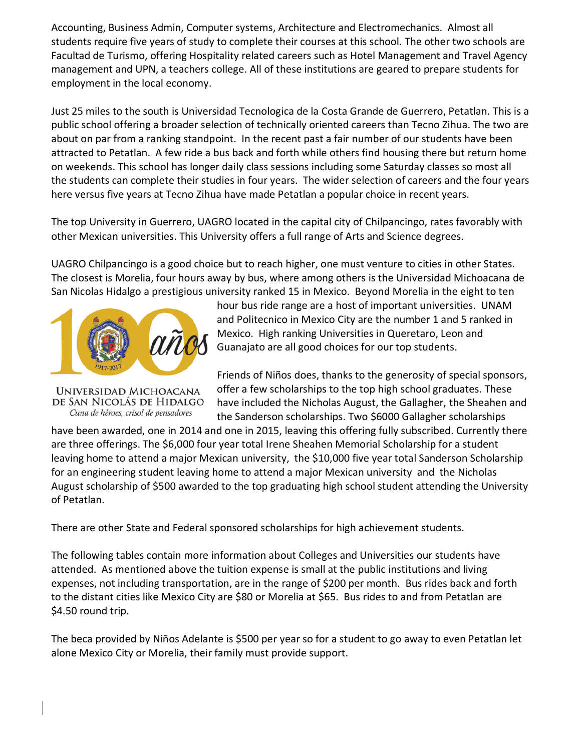Accounting, Business Admin, Computer systems, Architecture and Electromechanics. Almost all students require five years of study to complete their courses at this school. The other two schools are Facultad de Turismo, offering Hospitality related careers such as Hotel Management and Travel Agency management and UPN, a teachers college. All of these institutions are geared to prepare students for employment in the local economy.

Just 25 miles to the south is Universidad Tecnologica de la Costa Grande de Guerrero, Petatlan. This is a public school offering a broader selection of technically oriented careers than Tecno Zihua. The two are about on par from a ranking standpoint. In the recent past a fair number of our students have been attracted to Petatlan. A few ride a bus back and forth while others find housing there but return home on weekends. This school has longer daily class sessions including some Saturday classes so most all the students can complete their studies in four years. The wider selection of careers and the four years here versus five years at Tecno Zihua have made Petatlan a popular choice in recent years.

The top University in Guerrero, UAGRO located in the capital city of Chilpancingo, rates favorably with other Mexican universities. This University offers a full range of Arts and Science degrees.

UAGRO Chilpancingo is a good choice but to reach higher, one must venture to cities in other States. The closest is Morelia, four hours away by bus, where among others is the Universidad Michoacana de San Nicolas Hidalgo a prestigious university ranked 15 in Mexico. Beyond Morelia in the eight to ten



UNIVERSIDAD MICHOACANA de San Nicolás de Hidalgo Cuna de héroes, crisol de pensadores

hour bus ride range are a host of important universities. UNAM and Politecnico in Mexico City are the number 1 and 5 ranked in Mexico. High ranking Universities in Queretaro, Leon and Guanajato are all good choices for our top students.

Friends of Niños does, thanks to the generosity of special sponsors, offer a few scholarships to the top high school graduates. These have included the Nicholas August, the Gallagher, the Sheahen and the Sanderson scholarships. Two \$6000 Gallagher scholarships

have been awarded, one in 2014 and one in 2015, leaving this offering fully subscribed. Currently there are three offerings. The \$6,000 four year total Irene Sheahen Memorial Scholarship for a student leaving home to attend a major Mexican university, the \$10,000 five year total Sanderson Scholarship for an engineering student leaving home to attend a major Mexican university and the Nicholas August scholarship of \$500 awarded to the top graduating high school student attending the University of Petatlan.

There are other State and Federal sponsored scholarships for high achievement students.

The following tables contain more information about Colleges and Universities our students have attended. As mentioned above the tuition expense is small at the public institutions and living expenses, not including transportation, are in the range of \$200 per month. Bus rides back and forth to the distant cities like Mexico City are \$80 or Morelia at \$65. Bus rides to and from Petatlan are \$4.50 round trip.

The beca provided by Niños Adelante is \$500 per year so for a student to go away to even Petatlan let alone Mexico City or Morelia, their family must provide support.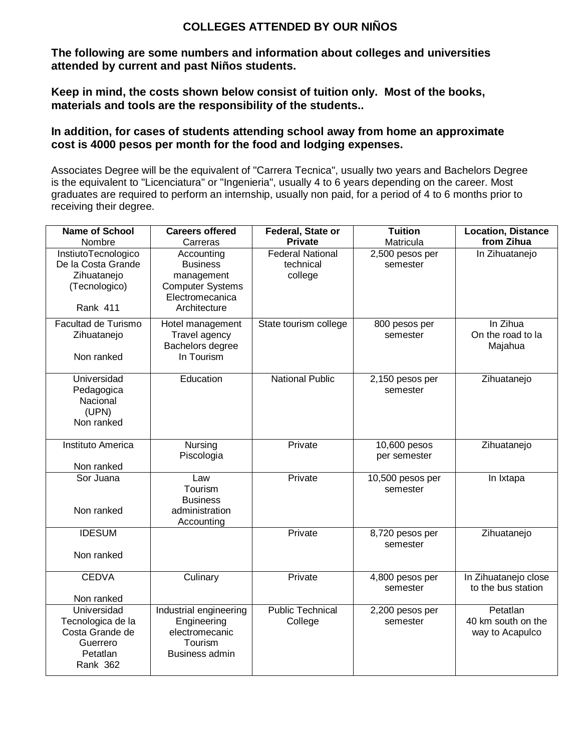## **COLLEGES ATTENDED BY OUR NIÑOS**

**The following are some numbers and information about colleges and universities attended by current and past Niños students.**

**Keep in mind, the costs shown below consist of tuition only. Most of the books, materials and tools are the responsibility of the students..**

## **In addition, for cases of students attending school away from home an approximate cost is 4000 pesos per month for the food and lodging expenses.**

Associates Degree will be the equivalent of "Carrera Tecnica", usually two years and Bachelors Degree is the equivalent to "Licenciatura" or "Ingenieria", usually 4 to 6 years depending on the career. Most graduates are required to perform an internship, usually non paid, for a period of 4 to 6 months prior to receiving their degree.

| <b>Name of School</b>                                                                          | <b>Careers offered</b>                                                                                    | <b>Federal, State or</b>                        | <b>Tuition</b>               | <b>Location, Distance</b>                         |
|------------------------------------------------------------------------------------------------|-----------------------------------------------------------------------------------------------------------|-------------------------------------------------|------------------------------|---------------------------------------------------|
| Nombre                                                                                         | Carreras                                                                                                  | <b>Private</b>                                  | Matricula                    | from Zihua                                        |
| InstiutoTecnologico<br>De la Costa Grande<br>Zihuatanejo<br>(Tecnologico)<br><b>Rank 411</b>   | Accounting<br><b>Business</b><br>management<br><b>Computer Systems</b><br>Electromecanica<br>Architecture | <b>Federal National</b><br>technical<br>college | 2,500 pesos per<br>semester  | In Zihuatanejo                                    |
| Facultad de Turismo<br>Zihuatanejo<br>Non ranked                                               | Hotel management<br>Travel agency<br>Bachelors degree<br>In Tourism                                       | State tourism college                           | 800 pesos per<br>semester    | In Zihua<br>On the road to la<br>Majahua          |
| Universidad<br>Pedagogica<br>Nacional<br>(UPN)<br>Non ranked                                   | Education                                                                                                 | <b>National Public</b>                          | 2,150 pesos per<br>semester  | Zihuatanejo                                       |
| Instituto America<br>Non ranked                                                                | Nursing<br>Piscologia                                                                                     | Private                                         | 10,600 pesos<br>per semester | Zihuatanejo                                       |
| Sor Juana<br>Non ranked                                                                        | Law<br>Tourism<br><b>Business</b><br>administration<br>Accounting                                         | Private                                         | 10,500 pesos per<br>semester | In Ixtapa                                         |
| <b>IDESUM</b><br>Non ranked                                                                    |                                                                                                           | Private                                         | 8,720 pesos per<br>semester  | Zihuatanejo                                       |
| <b>CEDVA</b><br>Non ranked                                                                     | Culinary                                                                                                  | Private                                         | 4,800 pesos per<br>semester  | In Zihuatanejo close<br>to the bus station        |
| Universidad<br>Tecnologica de la<br>Costa Grande de<br>Guerrero<br>Petatlan<br><b>Rank 362</b> | Industrial engineering<br>Engineering<br>electromecanic<br>Tourism<br>Business admin                      | <b>Public Technical</b><br>College              | 2,200 pesos per<br>semester  | Petatlan<br>40 km south on the<br>way to Acapulco |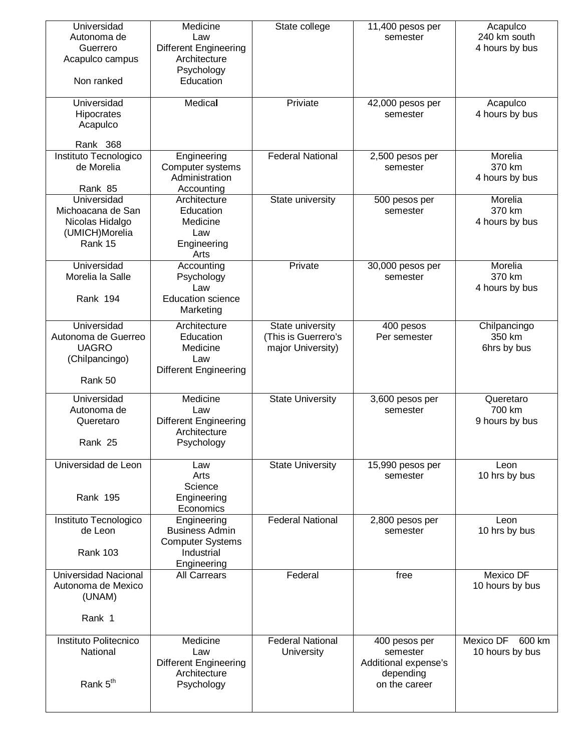| Universidad<br>Autonoma de<br>Guerrero<br>Acapulco campus<br>Non ranked         | Medicine<br>Law<br><b>Different Engineering</b><br>Architecture<br>Psychology<br>Education   | State college                                                | 11,400 pesos per<br>semester                                                    | Acapulco<br>240 km south<br>4 hours by bus |
|---------------------------------------------------------------------------------|----------------------------------------------------------------------------------------------|--------------------------------------------------------------|---------------------------------------------------------------------------------|--------------------------------------------|
| Universidad<br>Hipocrates<br>Acapulco                                           | Medical                                                                                      | Priviate                                                     | 42,000 pesos per<br>semester                                                    | Acapulco<br>4 hours by bus                 |
| Rank 368                                                                        |                                                                                              |                                                              |                                                                                 |                                            |
| Instituto Tecnologico<br>de Morelia                                             | Engineering<br>Computer systems<br>Administration                                            | <b>Federal National</b>                                      | 2,500 pesos per<br>semester                                                     | Morelia<br>370 km<br>4 hours by bus        |
| Rank 85<br>Universidad                                                          | Accounting<br>Architecture                                                                   | State university                                             | 500 pesos per                                                                   | Morelia                                    |
| Michoacana de San<br>Nicolas Hidalgo<br>(UMICH)Morelia<br>Rank 15               | Education<br>Medicine<br>Law<br>Engineering<br>Arts                                          |                                                              | semester                                                                        | 370 km<br>4 hours by bus                   |
| Universidad<br>Morelia la Salle<br>Rank 194                                     | Accounting<br>Psychology<br>Law<br><b>Education science</b><br>Marketing                     | Private                                                      | 30,000 pesos per<br>semester                                                    | Morelia<br>370 km<br>4 hours by bus        |
| Universidad<br>Autonoma de Guerreo<br><b>UAGRO</b><br>(Chilpancingo)<br>Rank 50 | Architecture<br>Education<br>Medicine<br>Law<br><b>Different Engineering</b>                 | State university<br>(This is Guerrero's<br>major University) | 400 pesos<br>Per semester                                                       | Chilpancingo<br>350 km<br>6hrs by bus      |
| Universidad<br>Autonoma de<br>Queretaro<br>Rank 25                              | Medicine<br>Law<br><b>Different Engineering</b><br>Architecture<br>Psychology                | <b>State University</b>                                      | 3,600 pesos per<br>semester                                                     | Queretaro<br>700 km<br>9 hours by bus      |
| Universidad de Leon<br><b>Rank 195</b>                                          | Law<br>Arts<br>Science<br>Engineering<br>Economics                                           | <b>State University</b>                                      | 15,990 pesos per<br>semester                                                    | Leon<br>10 hrs by bus                      |
| Instituto Tecnologico<br>de Leon<br><b>Rank 103</b>                             | Engineering<br><b>Business Admin</b><br><b>Computer Systems</b><br>Industrial<br>Engineering | <b>Federal National</b>                                      | 2,800 pesos per<br>semester                                                     | Leon<br>10 hrs by bus                      |
| Universidad Nacional<br>Autonoma de Mexico<br>(UNAM)<br>Rank 1                  | <b>All Carrears</b>                                                                          | Federal                                                      | free                                                                            | Mexico DF<br>10 hours by bus               |
|                                                                                 |                                                                                              |                                                              |                                                                                 |                                            |
| Instituto Politecnico<br>National<br>Rank 5 <sup>th</sup>                       | Medicine<br>Law<br><b>Different Engineering</b><br>Architecture<br>Psychology                | <b>Federal National</b><br>University                        | 400 pesos per<br>semester<br>Additional expense's<br>depending<br>on the career | Mexico DF<br>600 km<br>10 hours by bus     |
|                                                                                 |                                                                                              |                                                              |                                                                                 |                                            |